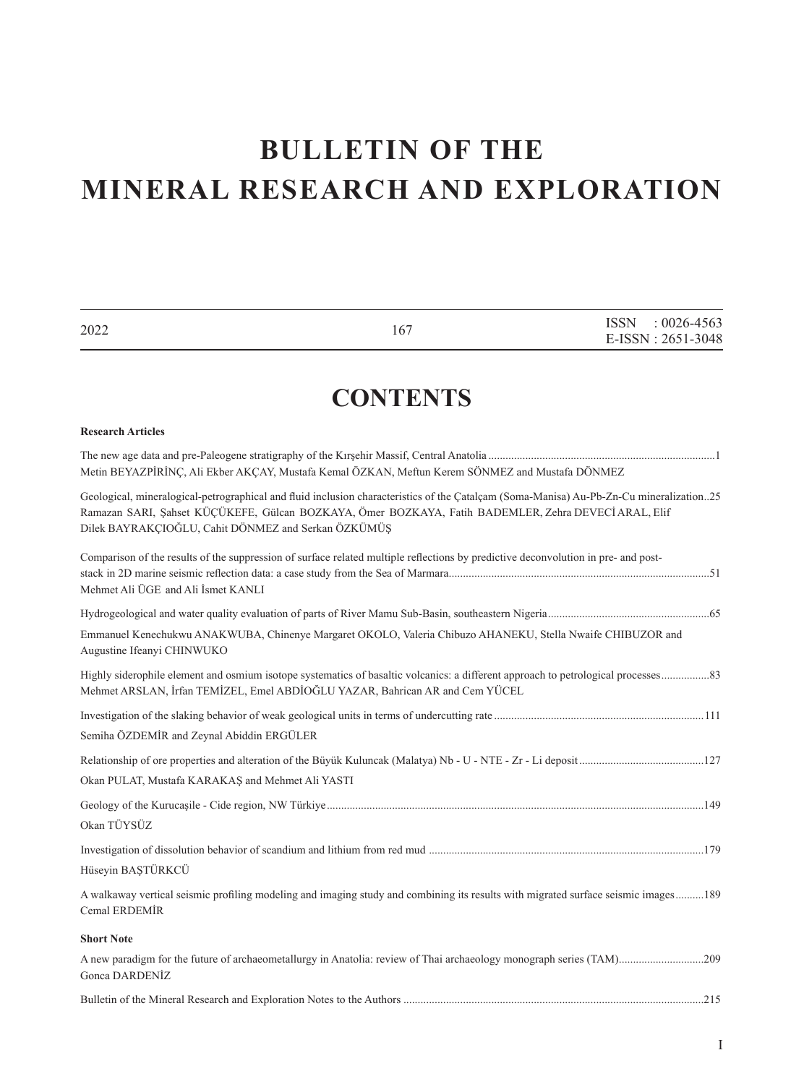# **BULLETIN OF THE MINERAL RESEARCH AND EXPLORATION**

| 2022                                                | 167                                                                                                                                                                                                                                             | ISSN<br>$: 0026 - 4563$<br>E-ISSN: 2651-3048 |
|-----------------------------------------------------|-------------------------------------------------------------------------------------------------------------------------------------------------------------------------------------------------------------------------------------------------|----------------------------------------------|
|                                                     | <b>CONTENTS</b>                                                                                                                                                                                                                                 |                                              |
| <b>Research Articles</b>                            |                                                                                                                                                                                                                                                 |                                              |
|                                                     | Metin BEYAZPİRİNÇ, Ali Ekber AKÇAY, Mustafa Kemal ÖZKAN, Meftun Kerem SÖNMEZ and Mustafa DÖNMEZ                                                                                                                                                 |                                              |
| Dilek BAYRAKÇIOĞLU, Cahit DÖNMEZ and Serkan ÖZKÜMÜŞ | Geological, mineralogical-petrographical and fluid inclusion characteristics of the Catalcam (Soma-Manisa) Au-Pb-Zn-Cu mineralization25<br>Ramazan SARI, Şahset KÜÇÜKEFE, Gülcan BOZKAYA, Ömer BOZKAYA, Fatih BADEMLER, Zehra DEVECİ ARAL, Elif |                                              |
| Mehmet Ali ÜGE and Ali İsmet KANLI                  | Comparison of the results of the suppression of surface related multiple reflections by predictive deconvolution in pre- and post-                                                                                                              |                                              |
|                                                     |                                                                                                                                                                                                                                                 |                                              |
| Augustine Ifeanyi CHINWUKO                          | Emmanuel Kenechukwu ANAKWUBA, Chinenye Margaret OKOLO, Valeria Chibuzo AHANEKU, Stella Nwaife CHIBUZOR and                                                                                                                                      |                                              |
|                                                     | Mehmet ARSLAN, İrfan TEMİZEL, Emel ABDİOĞLU YAZAR, Bahrican AR and Cem YÜCEL                                                                                                                                                                    |                                              |
| Semiha ÖZDEMİR and Zeynal Abiddin ERGÜLER           |                                                                                                                                                                                                                                                 |                                              |
| Okan PULAT, Mustafa KARAKAS and Mehmet Ali YASTI    |                                                                                                                                                                                                                                                 |                                              |
| Okan TÜYSÜZ                                         |                                                                                                                                                                                                                                                 |                                              |
| Hüseyin BAŞTÜRKCÜ                                   |                                                                                                                                                                                                                                                 |                                              |
| Cemal ERDEMİR                                       | A walkaway vertical seismic profiling modeling and imaging study and combining its results with migrated surface seismic images189                                                                                                              |                                              |
| <b>Short Note</b>                                   |                                                                                                                                                                                                                                                 |                                              |
| Gonca DARDENIZ                                      |                                                                                                                                                                                                                                                 |                                              |
|                                                     |                                                                                                                                                                                                                                                 |                                              |

I